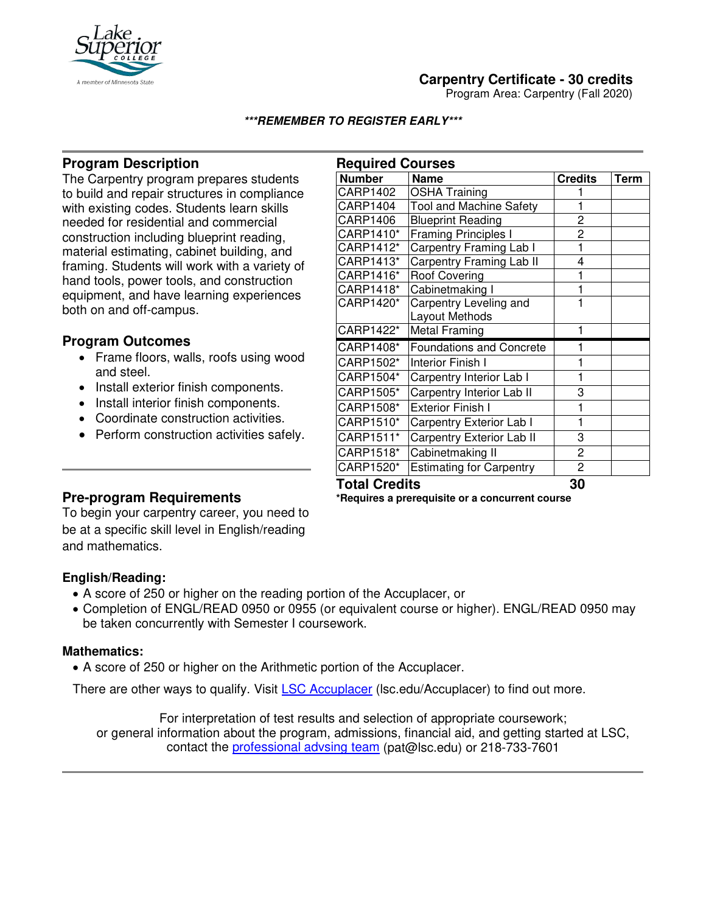

# **Carpentry Certificate - 30 credits**

Program Area: Carpentry (Fall 2020)

#### **\*\*\*REMEMBER TO REGISTER EARLY\*\*\***

# **Program Description**

The Carpentry program prepares students to build and repair structures in compliance with existing codes. Students learn skills needed for residential and commercial construction including blueprint reading, material estimating, cabinet building, and framing. Students will work with a variety of hand tools, power tools, and construction equipment, and have learning experiences both on and off-campus.

### **Program Outcomes**

- Frame floors, walls, roofs using wood and steel.
- Install exterior finish components.
- Install interior finish components.
- Coordinate construction activities.
- Perform construction activities safely.

| <b>Required Courses</b> |                                 |                |             |
|-------------------------|---------------------------------|----------------|-------------|
| <b>Number</b>           | Name                            | <b>Credits</b> | <b>Term</b> |
| CARP1402                | <b>OSHA Training</b>            |                |             |
| CARP1404                | <b>Tool and Machine Safety</b>  | 1              |             |
| CARP1406                | <b>Blueprint Reading</b>        | 2              |             |
| CARP1410*               | <b>Framing Principles I</b>     | $\overline{c}$ |             |
| CARP1412*               | Carpentry Framing Lab I         | 1              |             |
| CARP1413*               | Carpentry Framing Lab II        | 4              |             |
| CARP1416*               | <b>Roof Covering</b>            | 1              |             |
| CARP1418*               | Cabinetmaking I                 |                |             |
| CARP1420*               | Carpentry Leveling and          | 1              |             |
|                         | Layout Methods                  |                |             |
| CARP1422*               | <b>Metal Framing</b>            | 1              |             |
| CARP1408*               | <b>Foundations and Concrete</b> |                |             |
| CARP1502*               | Interior Finish I               | 1              |             |
| CARP1504*               | Carpentry Interior Lab I        | 1              |             |
| CARP1505*               | Carpentry Interior Lab II       | 3              |             |
| CARP1508*               | <b>Exterior Finish I</b>        | 1              |             |
| CARP1510*               | Carpentry Exterior Lab I        | 1              |             |
| CARP1511*               | Carpentry Exterior Lab II       | 3              |             |
| CARP1518*               | Cabinetmaking II                | 2              |             |
| CARP1520*               | <b>Estimating for Carpentry</b> | 2              |             |
| <b>Total Credits</b>    |                                 | 30             |             |

## **Pre-program Requirements**

To begin your carpentry career, you need to be at a specific skill level in English/reading and mathematics.

# **\*Requires a prerequisite or a concurrent course**

#### **English/Reading:**

- A score of 250 or higher on the reading portion of the Accuplacer, or
- Completion of ENGL/READ 0950 or 0955 (or equivalent course or higher). ENGL/READ 0950 may be taken concurrently with Semester I coursework.

#### **Mathematics:**

Ī

• A score of 250 or higher on the Arithmetic portion of the Accuplacer.

There are other ways to qualify. Visit [LSC Accuplacer](https://www.lsc.edu/accuplacer/) (Isc.edu/Accuplacer) to find out more.

For interpretation of test results and selection of appropriate coursework; or general information about the program, admissions, financial aid, and getting started at LSC, contact the [professional advsing team](mailto:pat@lsc.edu) (pat@lsc.edu) or 218-733-7601